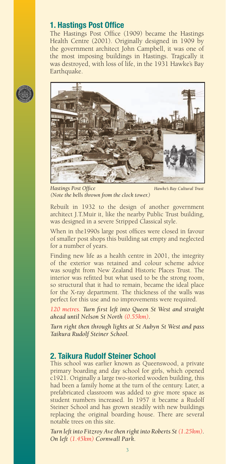## **1. Hastings Post Office**

The Hastings Post Office (1909) became the Hastings Health Centre (2001). Originally designed in 1909 by the government architect John Campbell, it was one of the most imposing buildings in Hastings. Tragically it was destroyed, with loss of life, in the 1931 Hawke's Bay Earthquake.



*Hastings Post Office Hawke's Bay Cultural Trust (Note the bells thrown from the clock tower.)*

Rebuilt in 1932 to the design of another government architect J.T.Muir it, like the nearby Public Trust building, was designed in a severe Stripped Classical style.

When in the1990s large post offices were closed in favour of smaller post shops this building sat empty and neglected for a number of years.

Finding new life as a health centre in 2001, the integrity of the exterior was retained and colour scheme advice was sought from New Zealand Historic Places Trust. The interior was refitted but what used to be the strong room, so structural that it had to remain, became the ideal place for the X-ray department. The thickness of the walls was perfect for this use and no improvements were required.

120 metres. Turn first left into Queen St West and straight *ahead until Nelson St North (0.55km).*

*Turn right then through lights at St Aubyn St West and pass Taikura Rudolf Steiner School.* 

## **2. Taikura Rudolf Steiner School**

This school was earlier known as Queenswood, a private primary boarding and day school for girls, which opened c1921. Originally a large two-storied wooden building, this had been a family home at the turn of the century. Later, a prefabricated classroom was added to give more space as student numbers increased. In 1957 it became a Rudolf Steiner School and has grown steadily with new buildings replacing the original boarding house. There are several notable trees on this site.

*Turn left into Fitzroy Ave then right into Roberts St (1.25km). On left (1.45km) Cornwall Park.*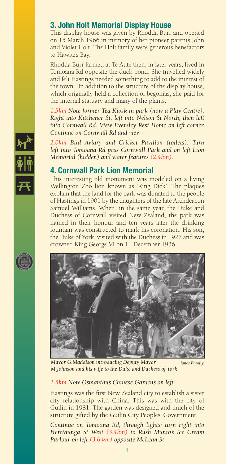# **3. John Holt Memorial Display House**

This display house was given by Rhodda Burr and opened on 15 March 1966 in memory of her pioneer parents John and Violet Holt. The Holt family were generous benefactors to Hawke's Bay.

Rhodda Burr farmed at Te Aute then, in later years, lived in Tomoana Rd opposite the duck pond. She travelled widely and felt Hastings needed something to add to the interest of the town. In addition to the structure of the display house, which originally held a collection of begonias, she paid for the internal statuary and many of the plants.

*1.5km Note former Tea Kiosk in park (now a Play Centre). Right into Kitchener St, left into Nelson St North, then left into Cornwall Rd. View Eversley Rest Home on left corner. Continue on Cornwall Rd and view -*

*2.0km Bird Aviary and Cricket Pavilion (toilets). Turn left into Tomoana Rd pass Cornwall Park and on left Lion Memorial (hidden) and water features (2.4km).*

# **4. Cornwall Park Lion Memorial**

This interesting old monument was modeled on a living Wellington Zoo lion known as 'King Dick'. The plaques explain that the land for the park was donated to the people of Hastings in 1901 by the daughters of the late Archdeacon Samuel Williams. When, in the same year, the Duke and Duchess of Cornwall visited New Zealand, the park was named in their honour and ten years later the drinking fountain was constructed to mark his coronation. His son, the Duke of York, visited with the Duchess in 1927 and was crowned King George VI on 11 December 1936.



*Mayor G.Maddison introducing Deputy Mayor M.Johnson and his wife to the Duke and Duchess of York. Jones Family.*

#### *2.5km Note Osmanthus Chinese Gardens on left.*

Hastings was the first New Zealand city to establish a sister city relationship with China. This was with the city of Guilin in 1981. The garden was designed and much of the structure gifted by the Guilin City Peoples' Government.

*Continue on Tomoana Rd, through lights; turn right into Heretaunga St West (3.4km) to Rush Munro's Ice Cream Parlour on left (3.6 km) opposite McLean St.*



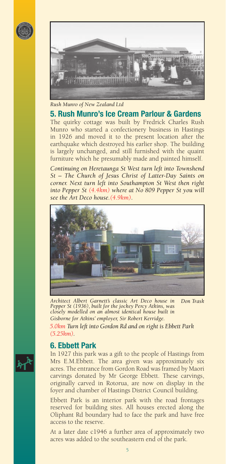



*Rush Munro of New Zealand Ltd*

The quirky cottage was built by Fredrick Charles Rush **5. Rush Munro's Ice Cream Parlour & Gardens** 

Munro who started a confectionery business in Hastings in 1926 and moved it to the present location after the earthquake which destroyed his earlier shop. The building is largely unchanged, and still furnished with the quaint furniture which he presumably made and painted himself.

*Continuing on Heretaunga St West turn left into Townshend St – The Church of Jesus Christ of Latter-Day Saints on corner. Next turn left into Southampton St West then right into Pepper St (4.4km) where at No 809 Pepper St you will see the Art Deco house.(4.9km).* 



*Architect Albert Garnett's classic Art Deco house in Pepper St (1936), built for the jockey Percy Atkins, was closely modelled on an almost identical house built in Gisborne for Atkins' employer, Sir Robert Kerridge. Don Trask*

*5.0km Turn left into Gordon Rd and on right is Ebbett Park (5.25km).*

## **6. Ebbett Park**

In 1927 this park was a gift to the people of Hastings from Mrs E.M.Ebbett. The area given was approximately six acres. The entrance from Gordon Road was framed by Maori carvings donated by Mr George Ebbett. These carvings, originally carved in Rotorua, are now on display in the foyer and chamber of Hastings District Council building.

Ebbett Park is an interior park with the road frontages reserved for building sites. All houses erected along the Oliphant Rd boundary had to face the park and have free access to the reserve.

At a later date c1946 a further area of approximately two acres was added to the southeastern end of the park.

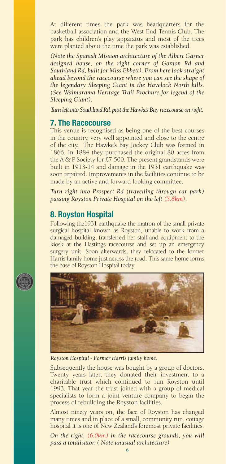At different times the park was headquarters for the basketball association and the West End Tennis Club. The park has children's play apparatus and most of the trees were planted about the time the park was established.

*(Note the Spanish Mission architecture of the Albert Garner designed house, on the right corner of Gordon Rd and Southland Rd, built for Miss Ebbett). From here look straight ahead beyond the racecourse where you can see the shape of the legendary Sleeping Giant in the Havelock North hills. (See Waimarama Heritage Trail Brochure for legend of the Sleeping Giant).*

*Turn left into Southland Rd. past the Hawke's Bay racecourse on right.*

### **7. The Racecourse**

This venue is recognised as being one of the best courses in the country, very well appointed and close to the centre of the city. The Hawke's Bay Jockey Club was formed in 1866. In 1884 they purchased the original 80 acres from the A & P Society for £7,500. The present grandstands were built in 1913-14 and damage in the 1931 earthquake was soon repaired. Improvements in the facilities continue to be made by an active and forward looking committee.

*Turn right into Prospect Rd (travelling through car park) passing Royston Private Hospital on the left (5.8km).* 

## **8. Royston Hospital**

Following the1931 earthquake the matron of the small private surgical hospital known as Royston, unable to work from a damaged building, transferred her staff and equipment to the kiosk at the Hastings racecourse and set up an emergency surgery unit. Soon afterwards, they relocated to the former Harris family home just across the road. This same home forms the base of Royston Hospital today.





*Royston Hospital - Former Harris family home.*

Subsequently the house was bought by a group of doctors. Twenty years later, they donated their investment to a charitable trust which continued to run Royston until 1993. That year the trust joined with a group of medical specialists to form a joint venture company to begin the process of rebuilding the Royston facilities.

Almost ninety years on, the face of Royston has changed many times and in place of a small, community run, cottage hospital it is one of New Zealand's foremost private facilities.

*On the right, (6.0km) in the racecourse grounds, you will pass a totalisator. ( Note unusual architecture)*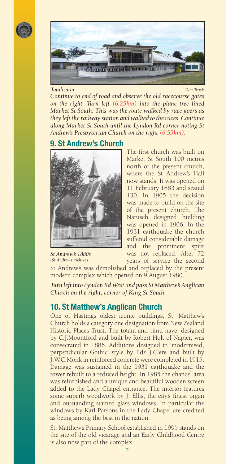



*Continue to end of road and observe the old racecourse gates on the right. Turn left (6.25km) into the plane tree lined Market St South. This was the route walked by race goers as they left the railway station and walked to the races. Continue along Market St South until the Lyndon Rd corner noting St Andrew's Presbyterian Church on the right (6.55km). Totalisator Don Trask* 

## **9. St Andrew's Church**



*St Andrew's 1880s -St Andrew's archives*

The first church was built on Market St South 100 metres north of the present church, where the St Andrew's Hall now stands. It was opened on 11 February 1883 and seated 130. In 1905 the decision was made to build on the site of the present church. The Natusch designed building was opened in 1906. In the 1931 earthquake the church suffered considerable damage and the prominent spire was not replaced. After 72 years of service the second

St Andrew's was demolished and replaced by the present modern complex which opened on 9 August 1980.

*Turn left into Lyndon Rd West and pass St Matthew's Anglican Church on the right, corner of King St South.* 

## **10. St Matthew's Anglican Church**

One of Hastings oldest iconic buildings, St. Matthew's Church holds a category one designation from New Zealand Historic Places Trust. The totara and rimu nave, designed by C.J.Mountford and built by Robert Holt of Napier, was consecrated in 1886. Additions designed in 'modernised, perpendicular Gothic' style by F.de J.Clere and built by J.W.C.Monk in reinforced concrete were completed in 1915. Damage was sustained in the 1931 earthquake and the tower rebuilt to a reduced height. In 1985 the chancel area was refurbished and a unique and beautiful wooden screen added to the Lady Chapel entrance. The interior features some superb woodwork by J. Ellis, the city's finest organ and outstanding stained glass windows. In particular the windows by Karl Parsons in the Lady Chapel are credited as being among the best in the nation.

St. Matthew's Primary School established in 1995 stands on the site of the old vicarage and an Early Childhood Centre is also now part of the complex.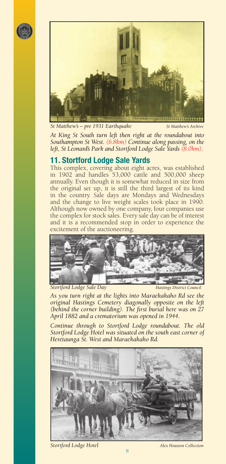



*St Matthew's – pre 1931 Earthquake St Matthew's Archive*

*At King St South turn left then right at the roundabout into Southampton St West. (6.8km) Continue along passing, on the left, St Leonard's Park and Stortford Lodge Sale Yards (8.0km).* 

# **11. Stortford Lodge Sale Yards**

This complex, covering about eight acres, was established in 1902 and handles 53,000 cattle and 500,000 sheep annually. Even though it is somewhat reduced in size from the original set up, it is still the third largest of its kind in the country. Sale days are Mondays and Wednesdays and the change to live weight scales took place in 1990. Although now owned by one company, four companies use the complex for stock sales. Every sale day can be of interest and it is a recommended stop in order to experience the excitement of the auctioneering.



**Stortford Lodge Sale Day** Hastings District Council

*As you turn right at the lights into Maraekakaho Rd see the original Hastings Cemetery diagonally opposite on the left (behind the corner building). The fi rst burial here was on 27 April 1882 and a crematorium was opened in 1944.* 

*Continue through to Stortford Lodge roundabout. The old Stortford Lodge Hotel was situated on the south east corner of Heretaunga St. West and Maraekakaho Rd.*



**Stortford Lodge Hotel Alex Houston Collection**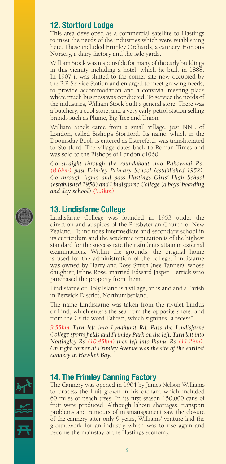# **12. Stortford Lodge**

This area developed as a commercial satellite to Hastings to meet the needs of the industries which were establishing here. These included Frimley Orchards, a cannery, Horton's Nursery, a dairy factory and the sale yards.

William Stock was responsible for many of the early buildings in this vicinity including a hotel, which he built in 1888. In 1907 it was shifted to the corner site now occupied by the B.P. Service Station and enlarged to meet growing needs, to provide accommodation and a convivial meeting place where much business was conducted. To service the needs of the industries, William Stock built a general store. There was a butchery, a cool store, and a very early petrol station selling brands such as Plume, Big Tree and Union.

William Stock came from a small village, just NNE of London, called Bishop's Stortford. Its name, which in the Doomsday Book is entered as Estereferd, was transliterated to Stortford. The village dates back to Roman Times and was sold to the Bishops of London c1060.

*Go straight through the roundabout into Pakowhai Rd. (8.6km) past Frimley Primary School (established 1952). Go through lights and pass Hastings Girls' High School (established 1956) and Lindisfarne College (a boys' boarding and day school) (9.3km).* 

## **13. Lindisfarne College**

Lindisfarne College was founded in 1953 under the direction and auspices of the Presbyterian Church of New Zealand. It includes intermediate and secondary school in its curriculum and the academic reputation is of the highest standard for the success rate their students attain in external examinations. Within the grounds, the original home is used for the administration of the college. Lindisfarne was owned by Harry and Rose Smith (nee Tanner), whose daughter, Ethne Rose, married Edward Jasper Herrick who purchased the property from them.

Lindisfarne or Holy Island is a village, an island and a Parish in Berwick District, Northumberland.

The name Lindisfarne was taken from the rivulet Lindus or Lind, which enters the sea from the opposite shore, and from the Celtic word Fahren, which signifies "a recess".

*9.55km Turn left into Lyndhurst Rd. Pass the Lindisfarne College sports fields and Frimley Park on the left. Turn left into Nottingley Rd (10.45km) then left into Ikanui Rd (11.2km). On right corner at Frimley Avenue was the site of the earliest cannery in Hawke's Bay.* 

## **14. The Frimley Canning Factory**

The Cannery was opened in 1904 by James Nelson Williams to process the fruit grown in his orchard which included 60 miles of peach trees. In its first season 150,000 cans of fruit were produced. Although labour shortages, transport problems and rumours of mismanagement saw the closure of the cannery after only 9 years, Williams' venture laid the groundwork for an industry which was to rise again and become the mainstay of the Hastings economy.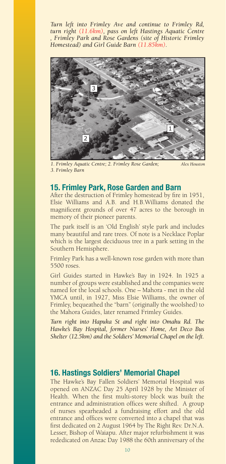*Turn left into Frimley Ave and continue to Frimley Rd, turn right (11.6km), pass on left Hastings Aquatic Centre , Frimley Park and Rose Gardens (site of Historic Frimley Homestead) and Girl Guide Barn (11.85km).*



*1. Frimley Aquatic Centre; 2. Frimley Rose Garden; 3. Frimley Barn* 

*Alex Houston*

## **15. Frimley Park, Rose Garden and Barn**

After the destruction of Frimley homestead by fire in 1951, Elsie Williams and A.B. and H.B.Williams donated the magnificent grounds of over 47 acres to the borough in memory of their pioneer parents.

The park itself is an 'Old English' style park and includes many beautiful and rare trees. Of note is a Necklace Poplar which is the largest deciduous tree in a park setting in the Southern Hemisphere.

Frimley Park has a well-known rose garden with more than 5500 roses.

Girl Guides started in Hawke's Bay in 1924. In 1925 a number of groups were established and the companies were named for the local schools. One – Mahora - met in the old YMCA until, in 1927, Miss Elsie Williams, the owner of Frimley, bequeathed the "barn" (originally the woolshed) to the Mahora Guides, later renamed Frimley Guides.

*Turn right into Hapuka St and right into Omahu Rd. The Hawke's Bay Hospital, former Nurses' Home, Art Deco Bus Shelter (12.5km) and the Soldiers' Memorial Chapel on the left.*

## **16. Hastings Soldiers' Memorial Chapel**

The Hawke's Bay Fallen Soldiers' Memorial Hospital was opened on ANZAC Day 25 April 1928 by the Minister of Health. When the first multi-storey block was built the entrance and administration offices were shifted. A group of nurses spearheaded a fundraising effort and the old entrance and offices were converted into a chapel that was first dedicated on 2 August 1964 by The Right Rev. Dr.N.A. Lesser, Bishop of Waiapu. After major refurbishment it was rededicated on Anzac Day 1988 the 60th anniversary of the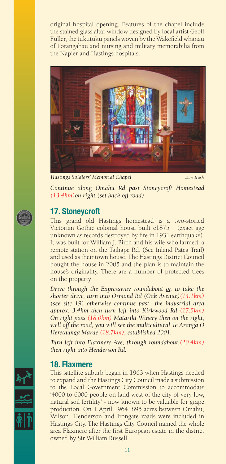original hospital opening. Features of the chapel include the stained glass altar window designed by local artist Geoff Fuller, the tukutuku panels woven by the Wakefield whanau of Porangahau and nursing and military memorabilia from the Napier and Hastings hospitals.



*Hastings Soldiers' Memorial Chapel Don Trask*

*Continue along Omahu Rd past Stoneycroft Homestead (13.4km)on right (set back off road).* 

## **17. Stoneycroft**

This grand old Hastings homestead is a two-storied Victorian Gothic colonial house built c1875 (exact age unknown as records destroyed by fire in 1931 earthquake). It was built for William J. Birch and his wife who farmed a remote station on the Taihape Rd. (See Inland Patea Trail) and used as their town house. The Hastings District Council bought the house in 2005 and the plan is to maintain the house's originality. There are a number of protected trees on the property.

*Drive through the Expressway roundabout or, to take the shorter drive, turn into Ormond Rd (Oak Avenue)(14.1km) (see site 19) otherwise continue past the industrial area approx. 3.4km then turn left into Kirkwood Rd (17.5km) On right pass (18.0km) Matariki Winery then on the right, well off the road, you will see the multicultural Te Aranga O Heretaunga Marae (18.7km), established 2001.* 

*Turn left into Flaxmere Ave, through roundabout,(20.4km) then right into Henderson Rd.*

### **18. Flaxmere**

This satellite suburb began in 1963 when Hastings needed to expand and the Hastings City Council made a submission to the Local Government Commission to accommodate '4000 to 6000 people on land west of the city of very low, natural soil fertility' - now known to be valuable for grape production. On 1 April 1964, 895 acres between Omahu, Wilson, Henderson and Irongate roads were included in Hastings City. The Hastings City Council named the whole area Flaxmere after the first European estate in the district owned by Sir William Russell.



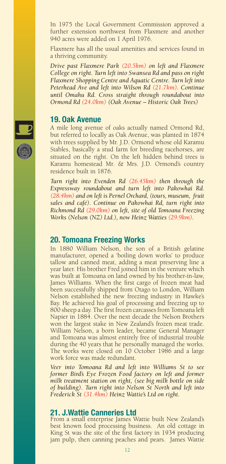In 1975 the Local Government Commission approved a further extension northwest from Flaxmere and another 940 acres were added on 1 April 1976.

Flaxmere has all the usual amenities and services found in a thriving community.

*Drive past Flaxmere Park (20.5km) on left and Flaxmere College on right. Turn left into Swansea Rd and pass on right Flaxmere Shopping Centre and Aquatic Centre. Turn left into Peterhead Ave and left into Wilson Rd (21.7km). Continue until Omahu Rd. Cross straight through roundabout into Ormond Rd (24.0km) (Oak Avenue – Historic Oak Trees)*

#### **19. Oak Avenue**

A mile long avenue of oaks actually named Ormond Rd, but referred to locally as Oak Avenue, was planted in 1874 with trees supplied by Mr. J.D. Ormond whose old Karamu Stables, basically a stud farm for breeding racehorses, are situated on the right. On the left hidden behind trees is Karamu homestead Mr. & Mrs. J.D. Ormond's country residence built in 1876.

*Turn right into Evenden Rd (26.45km) then through the Expressway roundabout and turn left into Pakowhai Rd. (28.4km) and on left is Pernel Orchard, (tours, museum, fruit sales and café). Continue on Pakowhai Rd, turn right into Richmond Rd (29.0km) on left, site of old Tomoana Freezing Works (Nelson (NZ) Ltd.), now Heinz Watties (29.9km).*

### **20. Tomoana Freezing Works**

In 1880 William Nelson, the son of a British gelatine manufacturer, opened a 'boiling down works' to produce tallow and canned meat, adding a meat preserving line a year later. His brother Fred joined him in the venture which was built at Tomoana on land owned by his brother-in-law, James Williams. When the first cargo of frozen meat had been successfully shipped from Otago to London, William Nelson established the new freezing industry in Hawke's Bay. He achieved his goal of processing and freezing up to 800 sheep a day. The first frozen carcasses from Tomoana left Napier in 1884. Over the next decade the Nelson Brothers won the largest stake in New Zealand's frozen meat trade. William Nelson, a born leader, became General Manager and Tomoana was almost entirely free of industrial trouble during the 40 years that he personally managed the works. The works were closed on 10 October 1986 and a large work force was made redundant.

*Veer into Tomoana Rd and left into Williams St to see former Bird's Eye Frozen Food factory on left and former milk treatment station on right, (see big milk bottle on side of building). Turn right into Nelson St North and left into Frederick St (31.4km) Heinz Wattie's Ltd on right.*

### **21. J.Wattie Canneries Ltd**

From a small enterprise James Wattie built New Zealand's best known food processing business. An old cottage in King St was the site of the first factory in 1934 producing jam pulp, then canning peaches and pears. James Wattie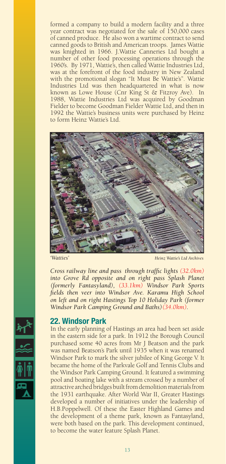formed a company to build a modern facility and a three year contract was negotiated for the sale of 150,000 cases of canned produce. He also won a wartime contract to send canned goods to British and American troops. James Wattie was knighted in 1966. J.Wattie Canneries Ltd bought a number of other food processing operations through the 1960's. By 1971, Wattie's, then called Wattie Industries Ltd, was at the forefront of the food industry in New Zealand with the promotional slogan "It Must Be Wattie's". Wattie Industries Ltd was then headquartered in what is now known as Lowe House (Cnr King St & Fitzroy Ave). In 1988, Wattie Industries Ltd was acquired by Goodman Fielder to become Goodman Fielder Wattie Ltd, and then in 1992 the Wattie's business units were purchased by Heinz to form Heinz Wattie's Ltd.



*'Watties' Heinz Wattie's Ltd Archives*

*Cross railway line and pass through traffic lights (32.0km) into Grove Rd opposite and on right pass Splash Planet (formerly Fantasyland), (33.1km) Windsor Park Sports fields then veer into Windsor Ave. Karamu High School on left and on right Hastings Top 10 Holiday Park (former Windsor Park Camping Ground and Baths)(34.0km).* 

#### **22. Windsor Park**

In the early planning of Hastings an area had been set aside in the eastern side for a park. In 1912 the Borough Council purchased some 40 acres from Mr J Beatson and the park was named Beatson's Park until 1935 when it was renamed Windsor Park to mark the silver jubilee of King George V. It became the home of the Parkvale Golf and Tennis Clubs and the Windsor Park Camping Ground. It featured a swimming pool and boating lake with a stream crossed by a number of attractive arched bridges built from demolition materials from the 1931 earthquake. After World War II, Greater Hastings developed a number of initiatives under the leadership of H.B.Poppelwell. Of these the Easter Highland Games and the development of a theme park, known as Fantasyland, were both based on the park. This development continued, to become the water feature Splash Planet.

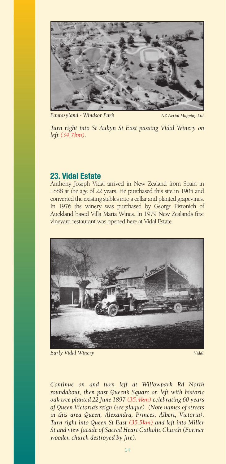

*Fantasyland - Windsor Park NZ Aerial Mapping Ltd*

*Turn right into St Aubyn St East passing Vidal Winery on left (34.7km).* 

## **23. Vidal Estate**

Anthony Joseph Vidal arrived in New Zealand from Spain in 1888 at the age of 22 years. He purchased this site in 1905 and converted the existing stables into a cellar and planted grapevines. In 1976 the winery was purchased by George Fistonich of Auckland based Villa Maria Wines. In 1979 New Zealand's first vineyard restaurant was opened here at Vidal Estate.



*Early Vidal Winery Vidal Vidal* 

*Continue on and turn left at Willowpark Rd North roundabout, then past Queen's Square on left with historic oak tree planted 22 June 1897 (35.4km) celebrating 60 years of Queen Victoria's reign (see plaque). (Note names of streets in this area Queen, Alexandra, Princes, Albert, Victoria). Turn right into Queen St East (35.5km) and left into Miller St and view facade of Sacred Heart Catholic Church (Former wooden church destroyed by fire).*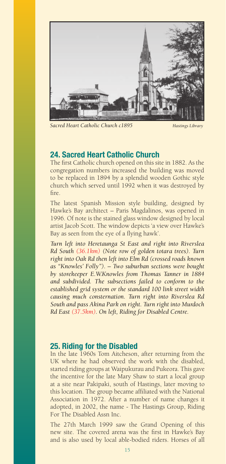

*Sacred Heart Catholic Church c1895 Hastings Library*

## **24. Sacred Heart Catholic Church**

The first Catholic church opened on this site in 1882. As the congregation numbers increased the building was moved to be replaced in 1894 by a splendid wooden Gothic style church which served until 1992 when it was destroyed by fi re.

The latest Spanish Mission style building, designed by Hawke's Bay architect – Paris Magdalinos, was opened in 1996. Of note is the stained glass window designed by local artist Jacob Scott. The window depicts 'a view over Hawke's Bay as seen from the eye of a flying hawk'.

*Turn left into Heretaunga St East and right into Riverslea Rd South (36.1km) (Note row of golden totara trees). Turn right into Oak Rd then left into Elm Rd (crossed roads known as "Knowles' Folly"). – Two suburban sections were bought by storekeeper E.W.Knowles from Thomas Tanner in 1884 and subdivided. The subsections failed to conform to the established grid system or the standard 100 link street width causing much consternation. Turn right into Riverslea Rd South and pass Akina Park on right. Turn right into Murdoch Rd East (37.5km). On left, Riding for Disabled Centre.*

## **25. Riding for the Disabled**

In the late 1960s Tom Aitcheson, after returning from the UK where he had observed the work with the disabled, started riding groups at Waipukurau and Pukeora. This gave the incentive for the late Mary Shaw to start a local group at a site near Pakipaki, south of Hastings, later moving to this location. The group became affiliated with the National Association in 1972. After a number of name changes it adopted, in 2002, the name - The Hastings Group, Riding For The Disabled Assn Inc.

The 27th March 1999 saw the Grand Opening of this new site. The covered arena was the first in Hawke's Bay and is also used by local able-bodied riders. Horses of all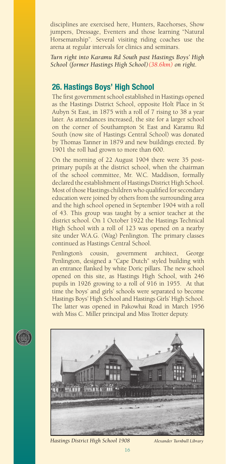disciplines are exercised here, Hunters, Racehorses, Show jumpers, Dressage, Eventers and those learning "Natural Horsemanship". Several visiting riding coaches use the arena at regular intervals for clinics and seminars.

*Turn right into Karamu Rd South past Hastings Boys' High School (former Hastings High School)(38.6km) on right.* 

## **26. Hastings Boys' High School**

The first government school established in Hastings opened as the Hastings District School, opposite Holt Place in St Aubyn St East, in 1875 with a roll of 7 rising to 38 a year later. As attendances increased, the site for a larger school on the corner of Southampton St East and Karamu Rd South (now site of Hastings Central School) was donated by Thomas Tanner in 1879 and new buildings erected. By 1901 the roll had grown to more than 600.

On the morning of 22 August 1904 there were 35 postprimary pupils at the district school, when the chairman of the school committee, Mr. W.C. Maddison, formally declared the establishment of Hastings District High School. Most of those Hastings children who qualified for secondary education were joined by others from the surrounding area and the high school opened in September 1904 with a roll of 43. This group was taught by a senior teacher at the district school. On 1 October 1922 the Hastings Technical High School with a roll of 123 was opened on a nearby site under W.A.G. (Wag) Penlington. The primary classes continued as Hastings Central School.

Penlington's cousin, government architect, George Penlington, designed a "Cape Dutch" styled building with an entrance flanked by white Doric pillars. The new school opened on this site, as Hastings High School, with 246 pupils in 1926 growing to a roll of 916 in 1955. At that time the boys' and girls' schools were separated to become Hastings Boys' High School and Hastings Girls' High School. The latter was opened in Pakowhai Road in March 1956 with Miss C. Miller principal and Miss Trotter deputy.



*Hastings District High School 1908 Alexander Turnbull Library*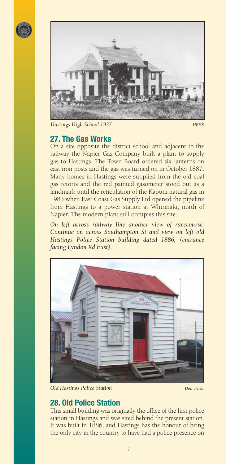



*Hastings High School 1927 HBHS* 

## **27. The Gas Works**

On a site opposite the district school and adjacent to the railway the Napier Gas Company built a plant to supply gas to Hastings. The Town Board ordered six lanterns on cast iron posts and the gas was turned on in October 1887. Many homes in Hastings were supplied from the old coal gas retorts and the red painted gasometer stood out as a landmark until the reticulation of the Kapuni natural gas in 1983 when East Coast Gas Supply Ltd opened the pipeline from Hastings to a power station at Whirinaki, north of Napier. The modern plant still occupies this site.

*On left across railway line another view of racecourse. Continue on across Southampton St and view on left old Hastings Police Station building dated 1886, (entrance facing Lyndon Rd East).* 



*Old Hastings Police Station Don Trask*

# **28. Old Police Station**

This small building was originally the office of the first police station in Hastings and was sited behind the present station. It was built in 1886, and Hastings has the honour of being the only city in the country to have had a police presence on